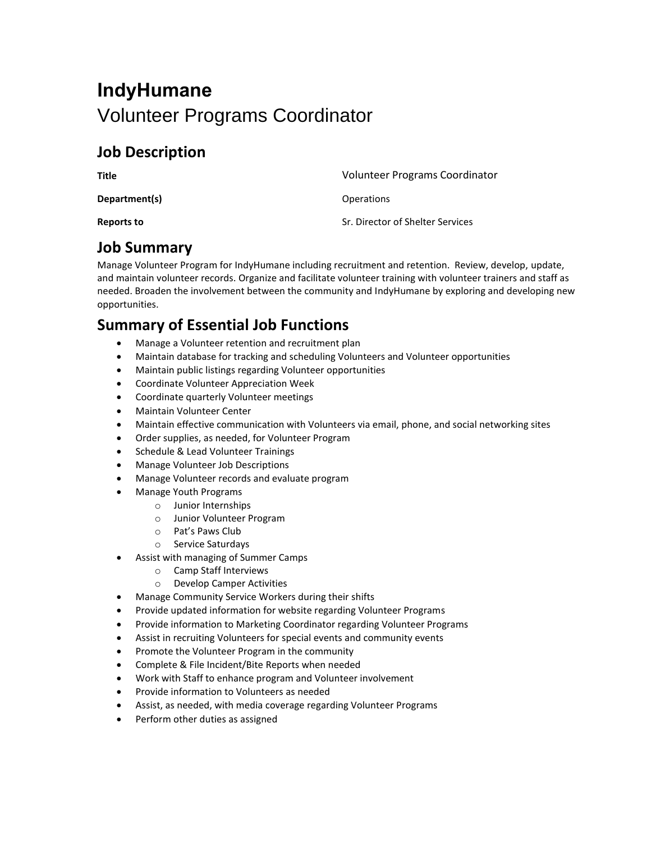# **IndyHumane** Volunteer Programs Coordinator

#### **Job Description**

| Title         | Volunteer Programs Coordinator   |
|---------------|----------------------------------|
| Department(s) | <b>Operations</b>                |
| Reports to    | Sr. Director of Shelter Services |

#### **Job Summary**

Manage Volunteer Program for IndyHumane including recruitment and retention. Review, develop, update, and maintain volunteer records. Organize and facilitate volunteer training with volunteer trainers and staff as needed. Broaden the involvement between the community and IndyHumane by exploring and developing new opportunities.

#### **Summary of Essential Job Functions**

- Manage a Volunteer retention and recruitment plan
- Maintain database for tracking and scheduling Volunteers and Volunteer opportunities
- Maintain public listings regarding Volunteer opportunities
- Coordinate Volunteer Appreciation Week
- Coordinate quarterly Volunteer meetings
- Maintain Volunteer Center
- Maintain effective communication with Volunteers via email, phone, and social networking sites
- Order supplies, as needed, for Volunteer Program
- Schedule & Lead Volunteer Trainings
- Manage Volunteer Job Descriptions
- Manage Volunteer records and evaluate program
- Manage Youth Programs
	- o Junior Internships
		- o Junior Volunteer Program
		- o Pat's Paws Club
	- o Service Saturdays
- Assist with managing of Summer Camps
	- o Camp Staff Interviews
	- o Develop Camper Activities
- Manage Community Service Workers during their shifts
- Provide updated information for website regarding Volunteer Programs
- Provide information to Marketing Coordinator regarding Volunteer Programs
- Assist in recruiting Volunteers for special events and community events
- Promote the Volunteer Program in the community
- Complete & File Incident/Bite Reports when needed
- Work with Staff to enhance program and Volunteer involvement
- Provide information to Volunteers as needed
- Assist, as needed, with media coverage regarding Volunteer Programs
- Perform other duties as assigned